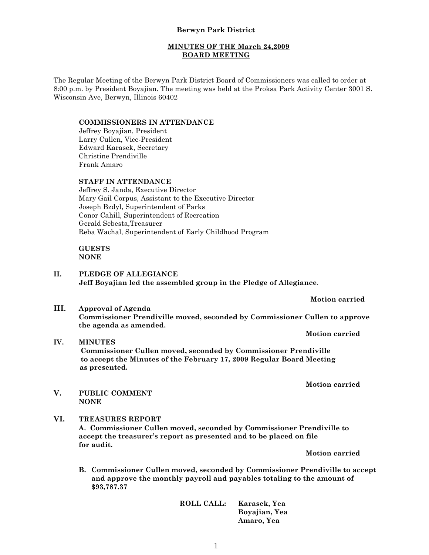## **MINUTES OF THE March 24,2009 BOARD MEETING**

The Regular Meeting of the Berwyn Park District Board of Commissioners was called to order at 8:00 p.m. by President Boyajian. The meeting was held at the Proksa Park Activity Center 3001 S. Wisconsin Ave, Berwyn, Illinois 60402

### **COMMISSIONERS IN ATTENDANCE**

Jeffrey Boyajian, President Larry Cullen, Vice-President Edward Karasek, Secretary Christine Prendiville Frank Amaro

#### **STAFF IN ATTENDANCE**

Jeffrey S. Janda, Executive Director Mary Gail Corpus, Assistant to the Executive Director Joseph Bzdyl, Superintendent of Parks Conor Cahill, Superintendent of Recreation Gerald Sebesta,Treasurer Reba Wachal, Superintendent of Early Childhood Program

**GUESTS NONE**

**II. PLEDGE OF ALLEGIANCE Jeff Boyajian led the assembled group in the Pledge of Allegiance**.

**Motion carried**

**III. Approval of Agenda**

**Commissioner Prendiville moved, seconded by Commissioner Cullen to approve the agenda as amended.**

**Motion carried**

# **IV. MINUTES Commissioner Cullen moved, seconded by Commissioner Prendiville to accept the Minutes of the February 17, 2009 Regular Board Meeting as presented.**

**Motion carried**

**V. PUBLIC COMMENT NONE**

## **VI. TREASURES REPORT**

**A. Commissioner Cullen moved, seconded by Commissioner Prendiville to accept the treasurer's report as presented and to be placed on file for audit.**

**Motion carried**

**B. Commissioner Cullen moved, seconded by Commissioner Prendiville to accept and approve the monthly payroll and payables totaling to the amount of \$93,787.37**

> **ROLL CALL: Karasek, Yea Boyajian, Yea Amaro, Yea**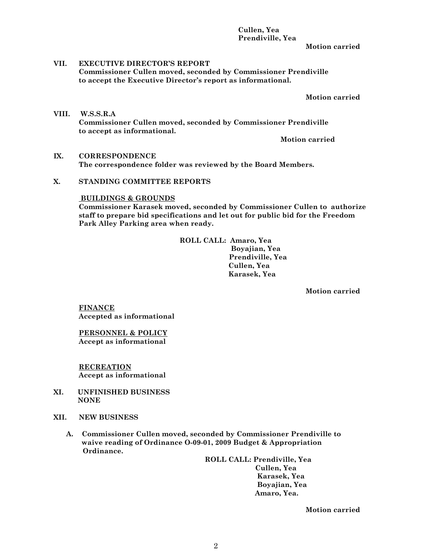#### **Cullen, Yea Prendiville, Yea**

**Motion carried**

# **VII. EXECUTIVE DIRECTOR'S REPORT Commissioner Cullen moved, seconded by Commissioner Prendiville to accept the Executive Director's report as informational.**

#### **Motion carried**

**VIII. W.S.S.R.A Commissioner Cullen moved, seconded by Commissioner Prendiville to accept as informational.**

**Motion carried**

**IX. CORRESPONDENCE The correspondence folder was reviewed by the Board Members.**

# **X. STANDING COMMITTEE REPORTS**

## **BUILDINGS & GROUNDS**

**Commissioner Karasek moved, seconded by Commissioner Cullen to authorize staff to prepare bid specifications and let out for public bid for the Freedom Park Alley Parking area when ready.**

> **ROLL CALL: Amaro, Yea Boyajian, Yea Prendiville, Yea Cullen, Yea Karasek, Yea**

> > **Motion carried**

**FINANCE Accepted as informational**

**PERSONNEL & POLICY Accept as informational**

**RECREATION Accept as informational**

- **XI. UNFINISHED BUSINESS NONE**
- **XII. NEW BUSINESS**
	- **A. Commissioner Cullen moved, seconded by Commissioner Prendiville to waive reading of Ordinance O-09-01, 2009 Budget & Appropriation Ordinance.**

**ROLL CALL: Prendiville, Yea Cullen, Yea Karasek, Yea Boyajian, Yea Amaro, Yea.**

**Motion carried**